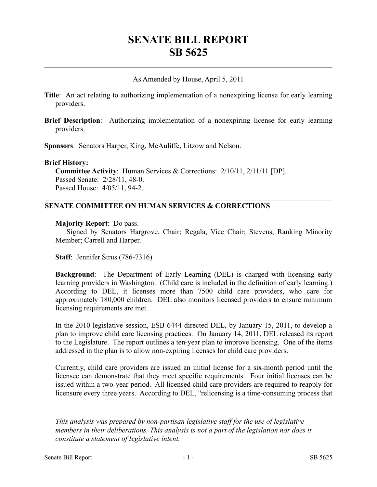# **SENATE BILL REPORT SB 5625**

As Amended by House, April 5, 2011

- **Title**: An act relating to authorizing implementation of a nonexpiring license for early learning providers.
- **Brief Description**: Authorizing implementation of a nonexpiring license for early learning providers.

**Sponsors**: Senators Harper, King, McAuliffe, Litzow and Nelson.

### **Brief History:**

**Committee Activity**: Human Services & Corrections: 2/10/11, 2/11/11 [DP]. Passed Senate: 2/28/11, 48-0. Passed House: 4/05/11, 94-2.

## **SENATE COMMITTEE ON HUMAN SERVICES & CORRECTIONS**

### **Majority Report**: Do pass.

Signed by Senators Hargrove, Chair; Regala, Vice Chair; Stevens, Ranking Minority Member; Carrell and Harper.

**Staff**: Jennifer Strus (786-7316)

**Background**: The Department of Early Learning (DEL) is charged with licensing early learning providers in Washington. (Child care is included in the definition of early learning.) According to DEL, it licenses more than 7500 child care providers, who care for approximately 180,000 children. DEL also monitors licensed providers to ensure minimum licensing requirements are met.

In the 2010 legislative session, ESB 6444 directed DEL, by January 15, 2011, to develop a plan to improve child care licensing practices. On January 14, 2011, DEL released its report to the Legislature. The report outlines a ten-year plan to improve licensing. One of the items addressed in the plan is to allow non-expiring licenses for child care providers.

Currently, child care providers are issued an initial license for a six-month period until the licensee can demonstrate that they meet specific requirements. Four initial licenses can be issued within a two-year period. All licensed child care providers are required to reapply for licensure every three years. According to DEL, "relicensing is a time-consuming process that

––––––––––––––––––––––

*This analysis was prepared by non-partisan legislative staff for the use of legislative members in their deliberations. This analysis is not a part of the legislation nor does it constitute a statement of legislative intent.*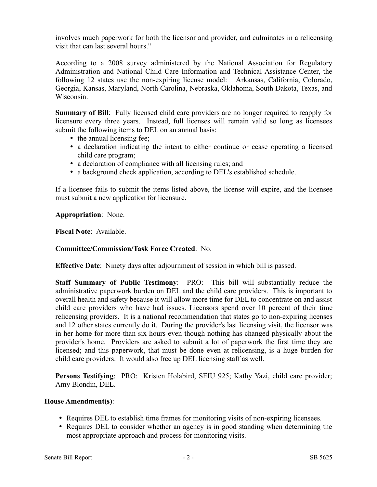involves much paperwork for both the licensor and provider, and culminates in a relicensing visit that can last several hours."

According to a 2008 survey administered by the National Association for Regulatory Administration and National Child Care Information and Technical Assistance Center, the following 12 states use the non-expiring license model: Arkansas, California, Colorado, Georgia, Kansas, Maryland, North Carolina, Nebraska, Oklahoma, South Dakota, Texas, and Wisconsin.

**Summary of Bill**: Fully licensed child care providers are no longer required to reapply for licensure every three years. Instead, full licenses will remain valid so long as licensees submit the following items to DEL on an annual basis:

- the annual licensing fee;
- a declaration indicating the intent to either continue or cease operating a licensed child care program;
- a declaration of compliance with all licensing rules; and
- a background check application, according to DEL's established schedule.

If a licensee fails to submit the items listed above, the license will expire, and the licensee must submit a new application for licensure.

**Appropriation**: None.

**Fiscal Note**: Available.

### **Committee/Commission/Task Force Created**: No.

**Effective Date**: Ninety days after adjournment of session in which bill is passed.

**Staff Summary of Public Testimony**: PRO: This bill will substantially reduce the administrative paperwork burden on DEL and the child care providers. This is important to overall health and safety because it will allow more time for DEL to concentrate on and assist child care providers who have had issues. Licensors spend over 10 percent of their time relicensing providers. It is a national recommendation that states go to non-expiring licenses and 12 other states currently do it. During the provider's last licensing visit, the licensor was in her home for more than six hours even though nothing has changed physically about the provider's home. Providers are asked to submit a lot of paperwork the first time they are licensed; and this paperwork, that must be done even at relicensing, is a huge burden for child care providers. It would also free up DEL licensing staff as well.

**Persons Testifying**: PRO: Kristen Holabird, SEIU 925; Kathy Yazi, child care provider; Amy Blondin, DEL.

### **House Amendment(s)**:

- Requires DEL to establish time frames for monitoring visits of non-expiring licensees.
- Requires DEL to consider whether an agency is in good standing when determining the most appropriate approach and process for monitoring visits.